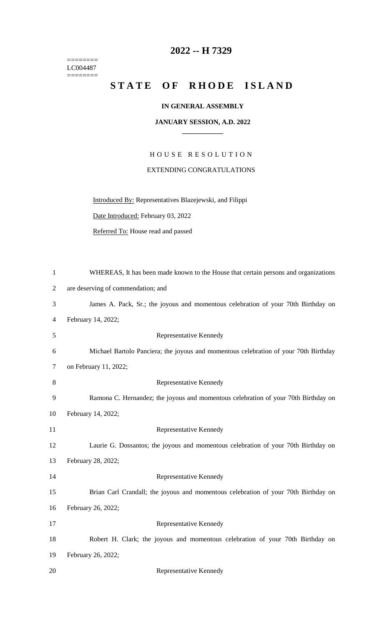======== LC004487  $=$ 

## **2022 -- H 7329**

## STATE OF RHODE ISLAND

## **IN GENERAL ASSEMBLY**

## **JANUARY SESSION, A.D. 2022 \_\_\_\_\_\_\_\_\_\_\_\_**

H O U S E R E S O L U T I O N EXTENDING CONGRATULATIONS

Introduced By: Representatives Blazejewski, and Filippi

Date Introduced: February 03, 2022

Referred To: House read and passed

| $\mathbf{1}$   | WHEREAS, It has been made known to the House that certain persons and organizations  |
|----------------|--------------------------------------------------------------------------------------|
| $\overline{2}$ | are deserving of commendation; and                                                   |
| 3              | James A. Pack, Sr.; the joyous and momentous celebration of your 70th Birthday on    |
| 4              | February 14, 2022;                                                                   |
| 5              | Representative Kennedy                                                               |
| 6              | Michael Bartolo Panciera; the joyous and momentous celebration of your 70th Birthday |
| $\tau$         | on February 11, 2022;                                                                |
| 8              | Representative Kennedy                                                               |
| 9              | Ramona C. Hernandez; the joyous and momentous celebration of your 70th Birthday on   |
| 10             | February 14, 2022;                                                                   |
| 11             | Representative Kennedy                                                               |
| 12             | Laurie G. Dossantos; the joyous and momentous celebration of your 70th Birthday on   |
| 13             | February 28, 2022;                                                                   |
| 14             | Representative Kennedy                                                               |
| 15             | Brian Carl Crandall; the joyous and momentous celebration of your 70th Birthday on   |
| 16             | February 26, 2022;                                                                   |
| 17             | Representative Kennedy                                                               |
| 18             | Robert H. Clark; the joyous and momentous celebration of your 70th Birthday on       |
| 19             | February 26, 2022;                                                                   |
| 20             | Representative Kennedy                                                               |
|                |                                                                                      |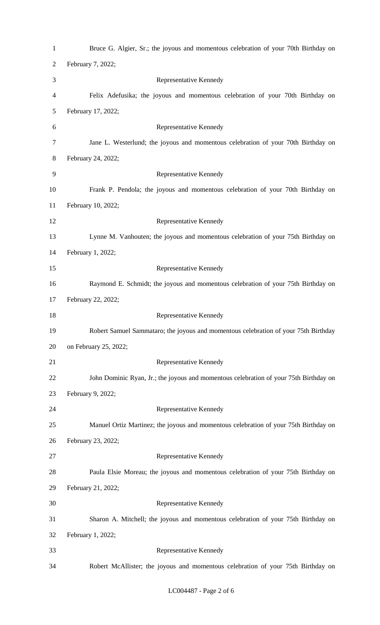| $\mathbf{1}$   | Bruce G. Algier, Sr.; the joyous and momentous celebration of your 70th Birthday on   |
|----------------|---------------------------------------------------------------------------------------|
| $\overline{2}$ | February 7, 2022;                                                                     |
| 3              | Representative Kennedy                                                                |
| 4              | Felix Adefusika; the joyous and momentous celebration of your 70th Birthday on        |
| 5              | February 17, 2022;                                                                    |
| 6              | Representative Kennedy                                                                |
| 7              | Jane L. Westerlund; the joyous and momentous celebration of your 70th Birthday on     |
| 8              | February 24, 2022;                                                                    |
| 9              | Representative Kennedy                                                                |
| 10             | Frank P. Pendola; the joyous and momentous celebration of your 70th Birthday on       |
| 11             | February 10, 2022;                                                                    |
| 12             | Representative Kennedy                                                                |
| 13             | Lynne M. Vanhouten; the joyous and momentous celebration of your 75th Birthday on     |
| 14             | February 1, 2022;                                                                     |
| 15             | Representative Kennedy                                                                |
| 16             | Raymond E. Schmidt; the joyous and momentous celebration of your 75th Birthday on     |
| 17             | February 22, 2022;                                                                    |
| 18             | Representative Kennedy                                                                |
| 19             | Robert Samuel Sammataro; the joyous and momentous celebration of your 75th Birthday   |
| 20             | on February 25, 2022;                                                                 |
| 21             | Representative Kennedy                                                                |
|                |                                                                                       |
| 22             | John Dominic Ryan, Jr.; the joyous and momentous celebration of your 75th Birthday on |
| 23             | February 9, 2022;                                                                     |
| 24             | Representative Kennedy                                                                |
| 25             | Manuel Ortiz Martinez; the joyous and momentous celebration of your 75th Birthday on  |
| 26             | February 23, 2022;                                                                    |
| 27             | Representative Kennedy                                                                |
| 28             | Paula Elsie Moreau; the joyous and momentous celebration of your 75th Birthday on     |
| 29             | February 21, 2022;                                                                    |
| 30             | Representative Kennedy                                                                |
| 31             | Sharon A. Mitchell; the joyous and momentous celebration of your 75th Birthday on     |
| 32             | February 1, 2022;                                                                     |
| 33             | Representative Kennedy                                                                |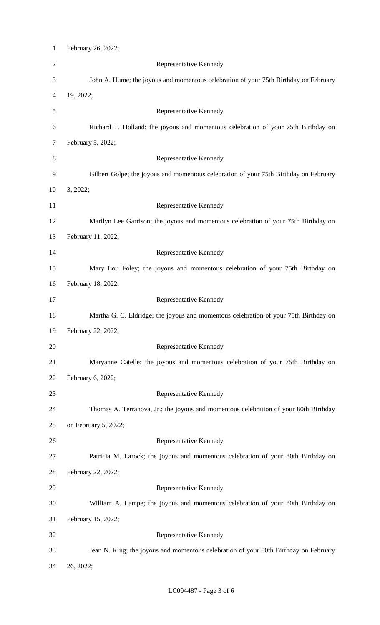| $\mathbf{1}$   | February 26, 2022;                                                                    |
|----------------|---------------------------------------------------------------------------------------|
| $\overline{2}$ | Representative Kennedy                                                                |
| 3              | John A. Hume; the joyous and momentous celebration of your 75th Birthday on February  |
| 4              | 19, 2022;                                                                             |
| 5              | Representative Kennedy                                                                |
| 6              | Richard T. Holland; the joyous and momentous celebration of your 75th Birthday on     |
| 7              | February 5, 2022;                                                                     |
| 8              | Representative Kennedy                                                                |
| 9              | Gilbert Golpe; the joyous and momentous celebration of your 75th Birthday on February |
| 10             | 3, 2022;                                                                              |
| 11             | Representative Kennedy                                                                |
| 12             | Marilyn Lee Garrison; the joyous and momentous celebration of your 75th Birthday on   |
| 13             | February 11, 2022;                                                                    |
| 14             | Representative Kennedy                                                                |
| 15             | Mary Lou Foley; the joyous and momentous celebration of your 75th Birthday on         |
| 16             | February 18, 2022;                                                                    |
| 17             | Representative Kennedy                                                                |
| 18             | Martha G. C. Eldridge; the joyous and momentous celebration of your 75th Birthday on  |
| 19             | February 22, 2022;                                                                    |
| 20             | Representative Kennedy                                                                |
| 21             | Maryanne Catelle; the joyous and momentous celebration of your 75th Birthday on       |
| 22             | February 6, 2022;                                                                     |
| 23             | Representative Kennedy                                                                |
| 24             | Thomas A. Terranova, Jr.; the joyous and momentous celebration of your 80th Birthday  |
| 25             | on February 5, 2022;                                                                  |
| 26             | Representative Kennedy                                                                |
| 27             | Patricia M. Larock; the joyous and momentous celebration of your 80th Birthday on     |
| 28             | February 22, 2022;                                                                    |
| 29             | Representative Kennedy                                                                |
| 30             | William A. Lampe; the joyous and momentous celebration of your 80th Birthday on       |
| 31             | February 15, 2022;                                                                    |
| 32             | Representative Kennedy                                                                |
| 33             | Jean N. King; the joyous and momentous celebration of your 80th Birthday on February  |
| 34             | 26, 2022;                                                                             |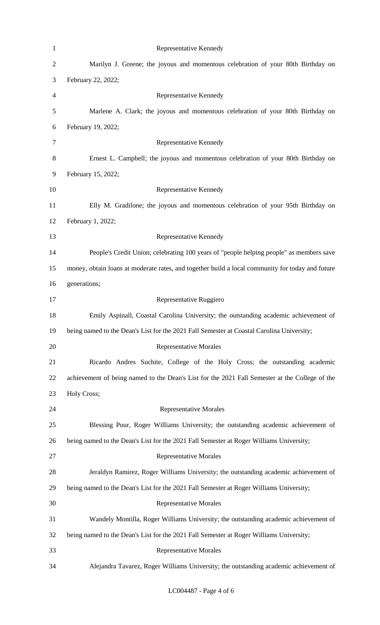| $\mathbf{1}$   | Representative Kennedy                                                                           |
|----------------|--------------------------------------------------------------------------------------------------|
| $\overline{2}$ | Marilyn J. Greene; the joyous and momentous celebration of your 80th Birthday on                 |
| 3              | February 22, 2022;                                                                               |
| $\overline{4}$ | Representative Kennedy                                                                           |
| 5              | Marlene A. Clark; the joyous and momentous celebration of your 80th Birthday on                  |
| 6              | February 19, 2022;                                                                               |
| 7              | Representative Kennedy                                                                           |
| 8              | Ernest L. Campbell; the joyous and momentous celebration of your 80th Birthday on                |
| 9              | February 15, 2022;                                                                               |
| 10             | Representative Kennedy                                                                           |
| 11             | Elly M. Gradilone; the joyous and momentous celebration of your 95th Birthday on                 |
| 12             | February 1, 2022;                                                                                |
| 13             | Representative Kennedy                                                                           |
| 14             | People's Credit Union; celebrating 100 years of "people helping people" as members save          |
| 15             | money, obtain loans at moderate rates, and together build a local community for today and future |
| 16             | generations;                                                                                     |
| 17             | Representative Ruggiero                                                                          |
| 18             | Emily Aspinall, Coastal Carolina University; the outstanding academic achievement of             |
| 19             | being named to the Dean's List for the 2021 Fall Semester at Coastal Carolina University;        |
| 20             | <b>Representative Morales</b>                                                                    |
| 21             | Ricardo Andres Suchite, College of the Holy Cross; the outstanding academic                      |
| 22             | achievement of being named to the Dean's List for the 2021 Fall Semester at the College of the   |
| 23             | Holy Cross;                                                                                      |
| 24             | <b>Representative Morales</b>                                                                    |
| 25             | Blessing Pour, Roger Williams University; the outstanding academic achievement of                |
| 26             | being named to the Dean's List for the 2021 Fall Semester at Roger Williams University;          |
| 27             | <b>Representative Morales</b>                                                                    |
| 28             | Jeraldyn Ramirez, Roger Williams University; the outstanding academic achievement of             |
| 29             | being named to the Dean's List for the 2021 Fall Semester at Roger Williams University;          |
| 30             | <b>Representative Morales</b>                                                                    |
| 31             | Wandely Montilla, Roger Williams University; the outstanding academic achievement of             |
| 32             | being named to the Dean's List for the 2021 Fall Semester at Roger Williams University;          |
| 33             | <b>Representative Morales</b>                                                                    |
| 34             | Alejandra Tavarez, Roger Williams University; the outstanding academic achievement of            |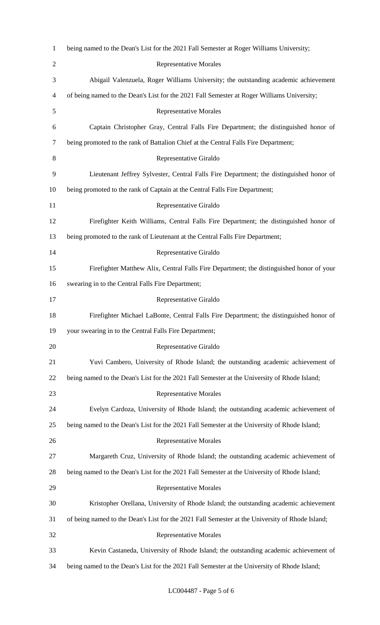| $\mathbf{1}$   | being named to the Dean's List for the 2021 Fall Semester at Roger Williams University;         |
|----------------|-------------------------------------------------------------------------------------------------|
| $\overline{2}$ | <b>Representative Morales</b>                                                                   |
| 3              | Abigail Valenzuela, Roger Williams University; the outstanding academic achievement             |
| 4              | of being named to the Dean's List for the 2021 Fall Semester at Roger Williams University;      |
| 5              | <b>Representative Morales</b>                                                                   |
| 6              | Captain Christopher Gray, Central Falls Fire Department; the distinguished honor of             |
| 7              | being promoted to the rank of Battalion Chief at the Central Falls Fire Department;             |
| 8              | Representative Giraldo                                                                          |
| 9              | Lieutenant Jeffrey Sylvester, Central Falls Fire Department; the distinguished honor of         |
| 10             | being promoted to the rank of Captain at the Central Falls Fire Department;                     |
| 11             | Representative Giraldo                                                                          |
| 12             | Firefighter Keith Williams, Central Falls Fire Department; the distinguished honor of           |
| 13             | being promoted to the rank of Lieutenant at the Central Falls Fire Department;                  |
| 14             | Representative Giraldo                                                                          |
| 15             | Firefighter Matthew Alix, Central Falls Fire Department; the distinguished honor of your        |
| 16             | swearing in to the Central Falls Fire Department;                                               |
| 17             | Representative Giraldo                                                                          |
| 18             | Firefighter Michael LaBonte, Central Falls Fire Department; the distinguished honor of          |
| 19             | your swearing in to the Central Falls Fire Department;                                          |
| 20             | Representative Giraldo                                                                          |
| 21             | Yuvi Cambero, University of Rhode Island; the outstanding academic achievement of               |
| 22             | being named to the Dean's List for the 2021 Fall Semester at the University of Rhode Island;    |
| 23             | <b>Representative Morales</b>                                                                   |
| 24             | Evelyn Cardoza, University of Rhode Island; the outstanding academic achievement of             |
| 25             | being named to the Dean's List for the 2021 Fall Semester at the University of Rhode Island;    |
| 26             | <b>Representative Morales</b>                                                                   |
| 27             | Margareth Cruz, University of Rhode Island; the outstanding academic achievement of             |
| 28             | being named to the Dean's List for the 2021 Fall Semester at the University of Rhode Island;    |
| 29             | <b>Representative Morales</b>                                                                   |
| 30             | Kristopher Orellana, University of Rhode Island; the outstanding academic achievement           |
| 31             | of being named to the Dean's List for the 2021 Fall Semester at the University of Rhode Island; |
| 32             | <b>Representative Morales</b>                                                                   |
| 33             | Kevin Castaneda, University of Rhode Island; the outstanding academic achievement of            |
| 34             | being named to the Dean's List for the 2021 Fall Semester at the University of Rhode Island;    |